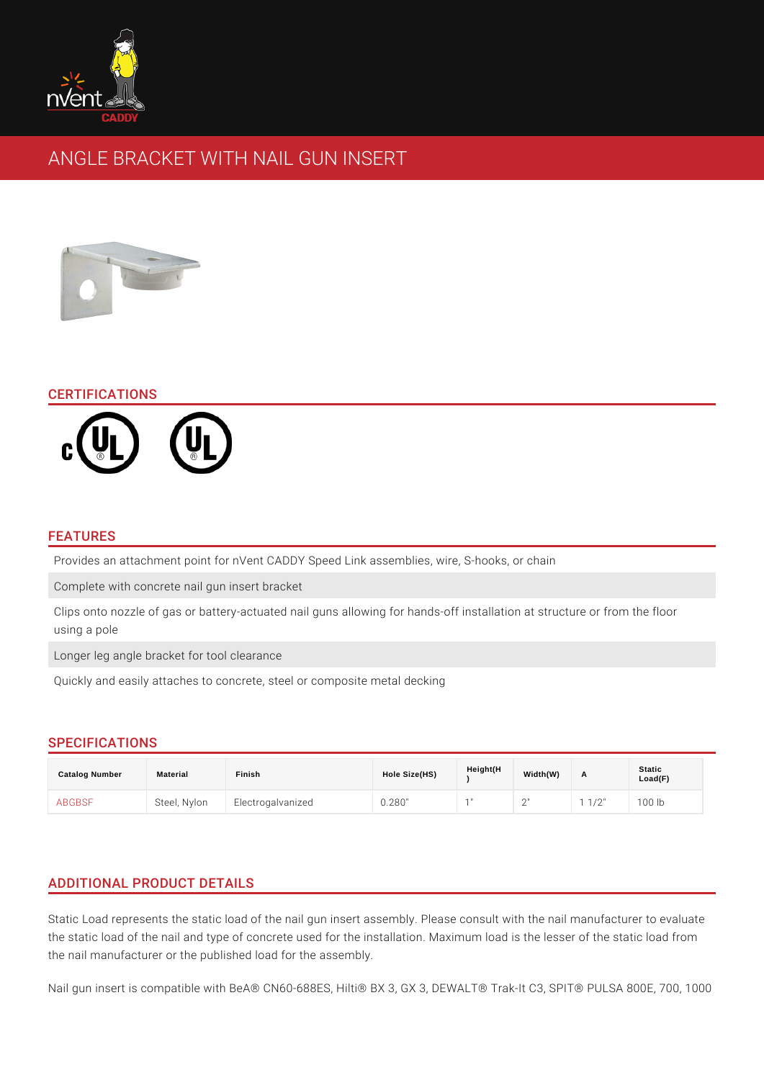# ANGLE BRACKET WITH NAIL GUN INSERT

## CERTIFICATIONS

#### FEATURES

Provides an attachment point for nVent CADDY Speed Link assemblies, wire, S-I Complete with concrete nail gun insert bracket

Clips onto nozzle of gas or battery-actuated nail guns allowing for hands-off in using a pole

Longer leg angle bracket for tool clearance

Quickly and easily attaches to concrete, steel or composite metal decking

## SPECIFICATIONS

| Catalog Number | Material | Finish                        | Hole Size(HS) | Height(H | Width(W)          |     | <b>Static</b><br>Load(F) |
|----------------|----------|-------------------------------|---------------|----------|-------------------|-----|--------------------------|
| <b>ABGBSF</b>  |          | Steel, NyloEnlectrogalvanized | 0.280"        |          | $\sim$ $\sqrt{ }$ | /2" | 00 lb                    |

# ADDITIONAL PRODUCT DETAILS

Static Load represents the static load of the nail gun insert assembly. Please co the static load of the nail and type of concrete used for the installation. Maximu the nail manufacturer or the published load for the assembly.

Nail gun insert is compatible with BeA® CN60-688ES, Hilti® BX 3, GX 3, DEWALT